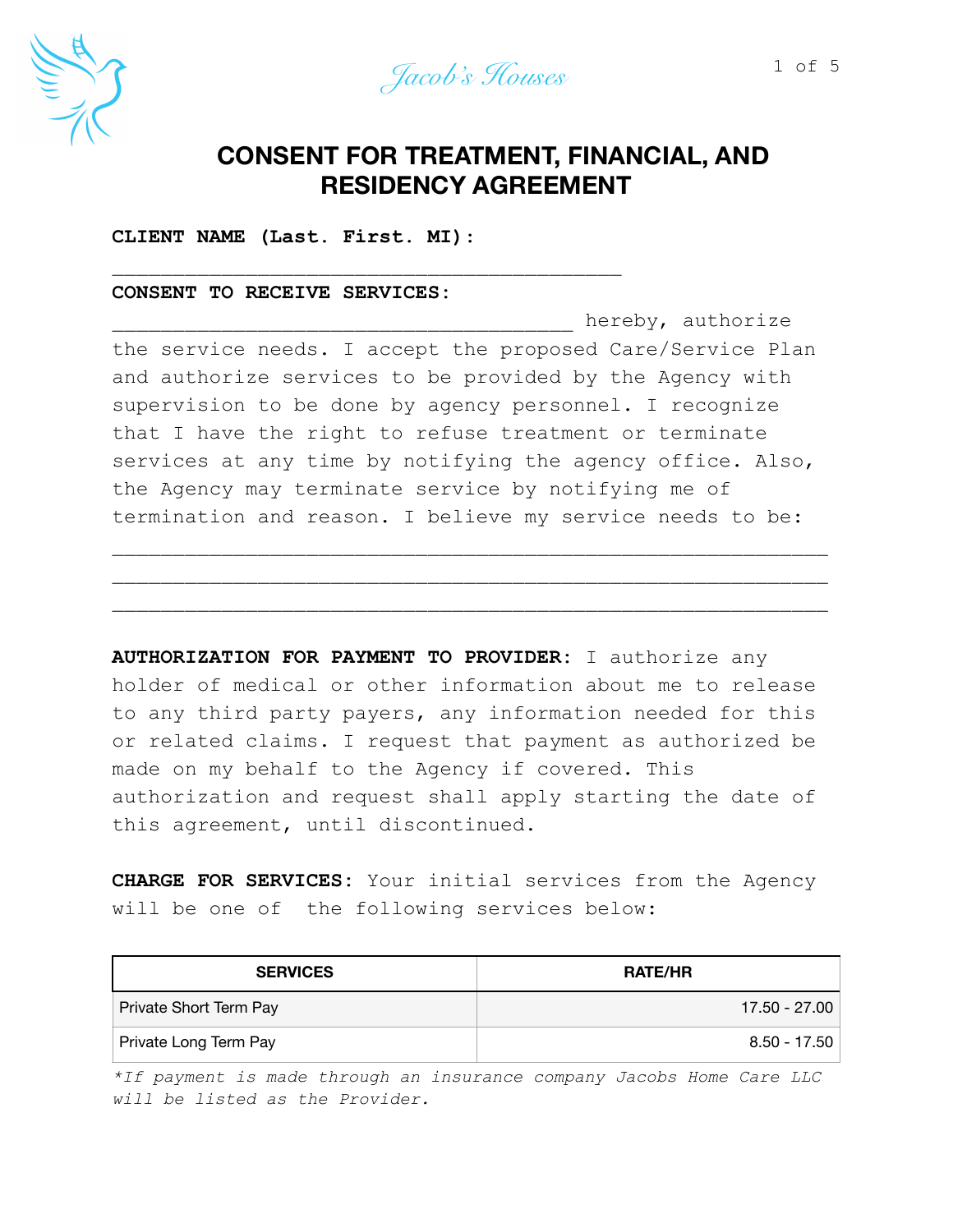



# **CONSENT FOR TREATMENT, FINANCIAL, AND RESIDENCY AGREEMENT**

**CLIENT NAME (Last. First. MI)**:

 $\overline{\phantom{a}}$  , and the contract of the contract of the contract of the contract of the contract of the contract of the contract of the contract of the contract of the contract of the contract of the contract of the contrac

## **CONSENT TO RECEIVE SERVICES:**

hereby, authorize the service needs. I accept the proposed Care/Service Plan and authorize services to be provided by the Agency with supervision to be done by agency personnel. I recognize that I have the right to refuse treatment or terminate services at any time by notifying the agency office. Also, the Agency may terminate service by notifying me of termination and reason. I believe my service needs to be:

\_\_\_\_\_\_\_\_\_\_\_\_\_\_\_\_\_\_\_\_\_\_\_\_\_\_\_\_\_\_\_\_\_\_\_\_\_\_\_\_\_\_\_\_\_\_\_\_\_\_\_\_\_\_\_\_\_\_\_ \_\_\_\_\_\_\_\_\_\_\_\_\_\_\_\_\_\_\_\_\_\_\_\_\_\_\_\_\_\_\_\_\_\_\_\_\_\_\_\_\_\_\_\_\_\_\_\_\_\_\_\_\_\_\_\_\_\_\_ \_\_\_\_\_\_\_\_\_\_\_\_\_\_\_\_\_\_\_\_\_\_\_\_\_\_\_\_\_\_\_\_\_\_\_\_\_\_\_\_\_\_\_\_\_\_\_\_\_\_\_\_\_\_\_\_\_\_\_

**AUTHORIZATION FOR PAYMENT TO PROVIDER:** I authorize any holder of medical or other information about me to release to any third party payers, any information needed for this or related claims. I request that payment as authorized be made on my behalf to the Agency if covered. This authorization and request shall apply starting the date of this agreement, until discontinued.

**CHARGE FOR SERVICES:** Your initial services from the Agency will be one of the following services below:

| <b>SERVICES</b>        | <b>RATE/HR</b> |
|------------------------|----------------|
| Private Short Term Pay | 17.50 - 27.00  |
| Private Long Term Pay  | $8.50 - 17.50$ |

*\*If payment is made through an insurance company Jacobs Home Care LLC will be listed as the Provider.*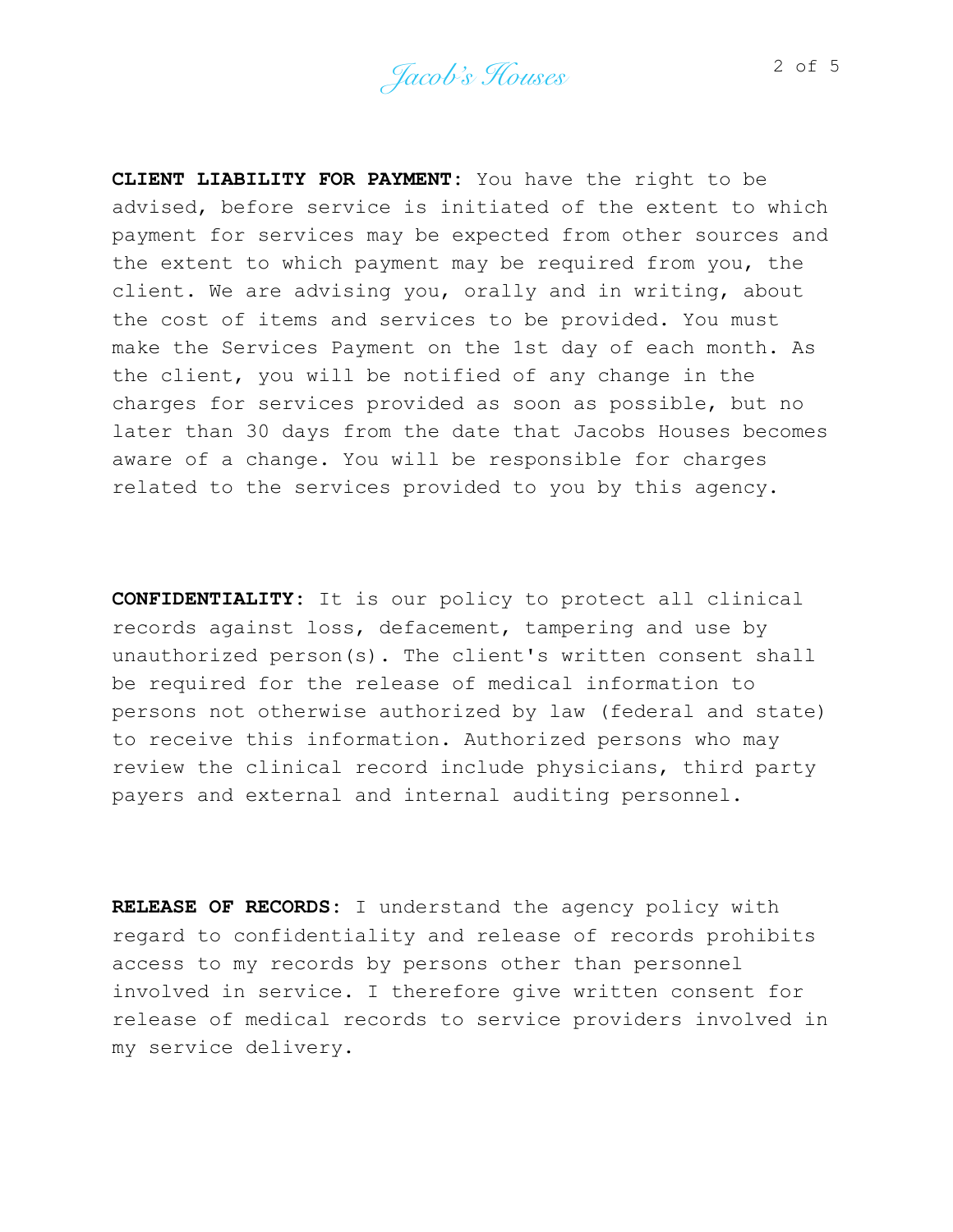**CLIENT LIABILITY FOR PAYMENT:** You have the right to be advised, before service is initiated of the extent to which payment for services may be expected from other sources and the extent to which payment may be required from you, the client. We are advising you, orally and in writing, about the cost of items and services to be provided. You must make the Services Payment on the 1st day of each month. As the client, you will be notified of any change in the charges for services provided as soon as possible, but no later than 30 days from the date that Jacobs Houses becomes aware of a change. You will be responsible for charges related to the services provided to you by this agency.

**CONFIDENTIALITY:** It is our policy to protect all clinical records against loss, defacement, tampering and use by unauthorized person(s). The client's written consent shall be required for the release of medical information to persons not otherwise authorized by law (federal and state) to receive this information. Authorized persons who may review the clinical record include physicians, third party payers and external and internal auditing personnel.

**RELEASE OF RECORDS:** I understand the agency policy with regard to confidentiality and release of records prohibits access to my records by persons other than personnel involved in service. I therefore give written consent for release of medical records to service providers involved in my service delivery.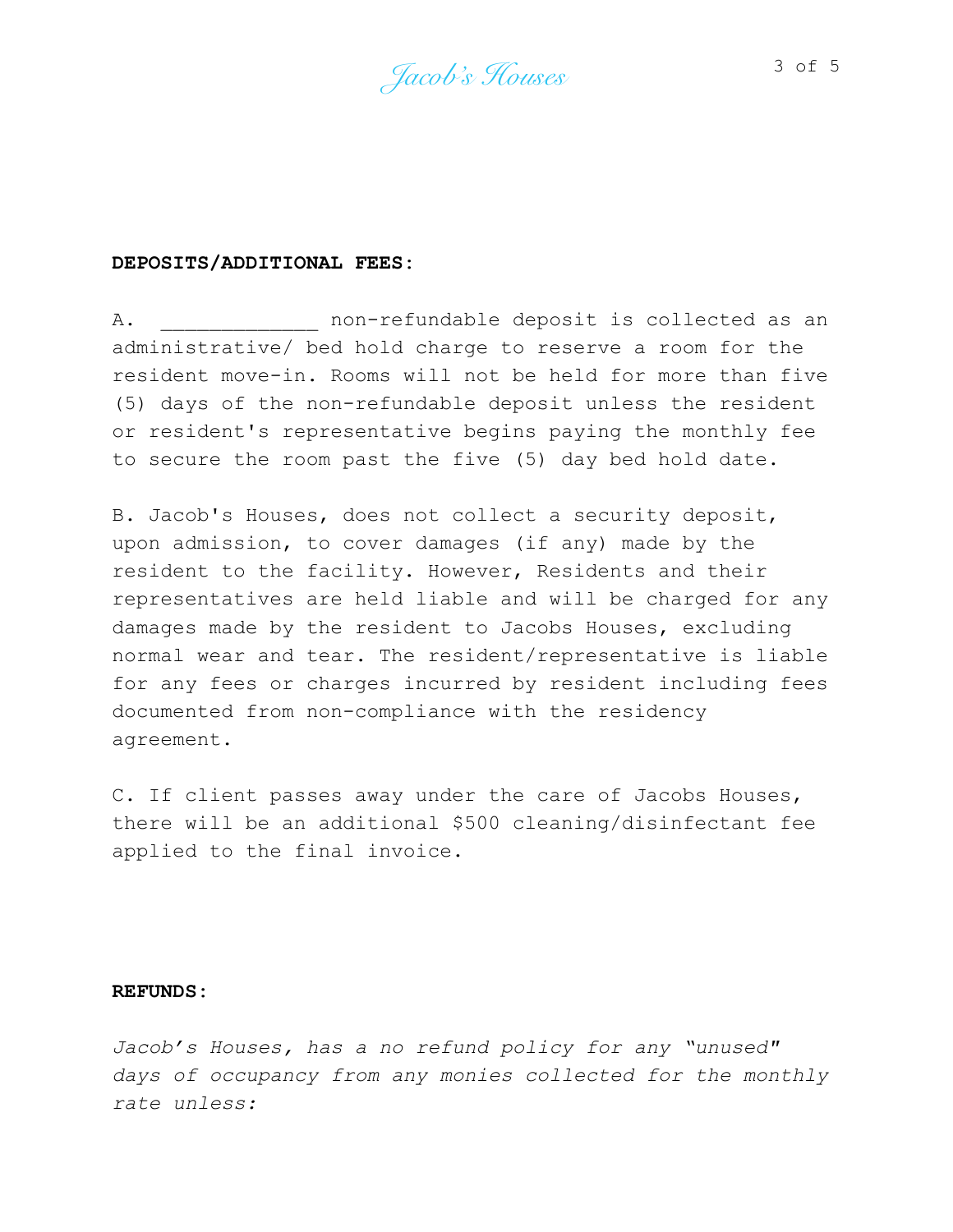*Jacob's Houses* 3 of 5

#### **DEPOSITS/ADDITIONAL FEES:**

A. The non-refundable deposit is collected as an administrative/ bed hold charge to reserve a room for the resident move-in. Rooms will not be held for more than five (5) days of the non-refundable deposit unless the resident or resident's representative begins paying the monthly fee to secure the room past the five (5) day bed hold date.

B. Jacob's Houses, does not collect a security deposit, upon admission, to cover damages (if any) made by the resident to the facility. However, Residents and their representatives are held liable and will be charged for any damages made by the resident to Jacobs Houses, excluding normal wear and tear. The resident/representative is liable for any fees or charges incurred by resident including fees documented from non-compliance with the residency agreement.

C. If client passes away under the care of Jacobs Houses, there will be an additional \$500 cleaning/disinfectant fee applied to the final invoice.

## **REFUNDS:**

*Jacob's Houses, has a no refund policy for any "unused" days of occupancy from any monies collected for the monthly rate unless:*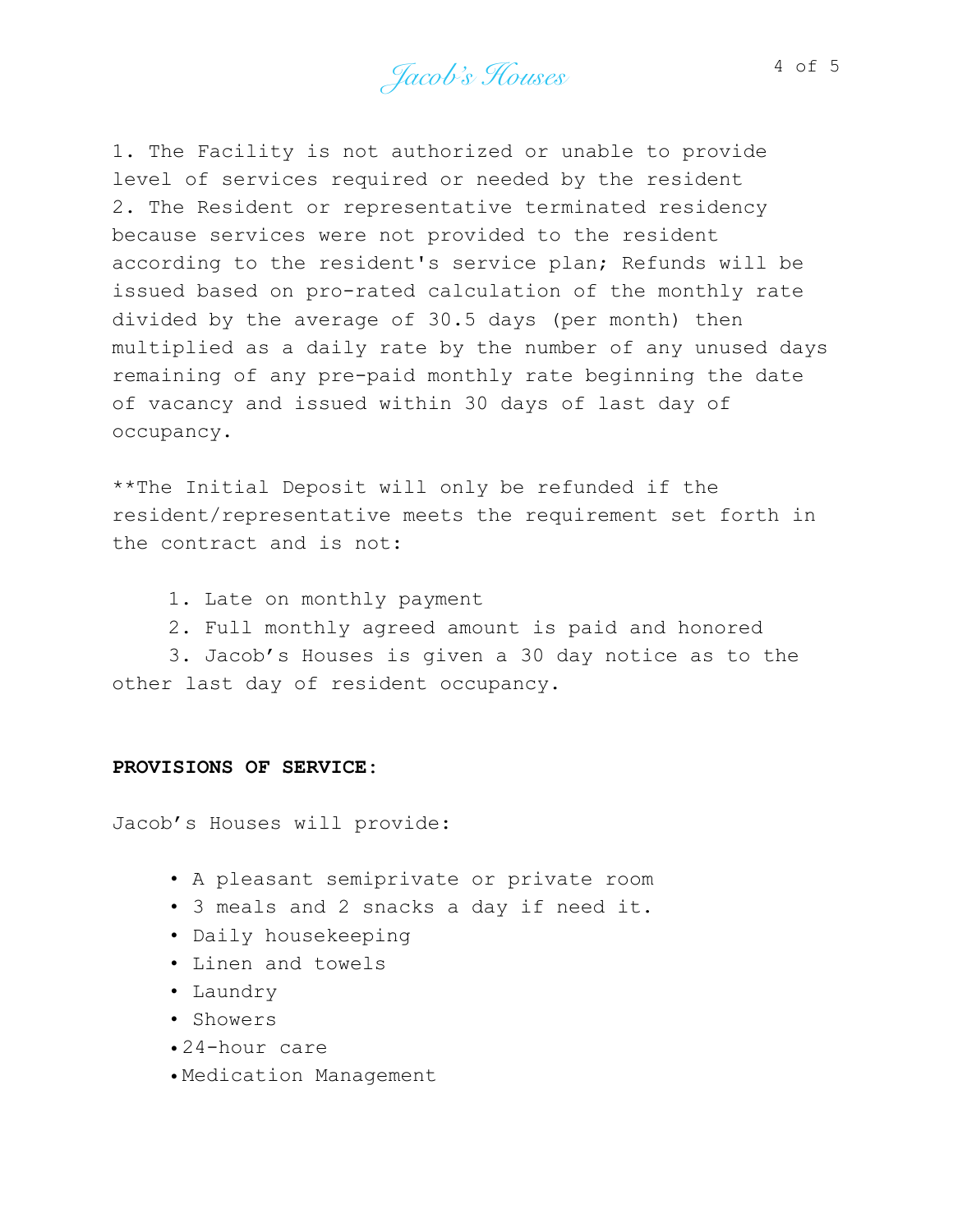Jacob's Houses 4 of 5

1. The Facility is not authorized or unable to provide level of services required or needed by the resident 2. The Resident or representative terminated residency because services were not provided to the resident according to the resident's service plan; Refunds will be issued based on pro-rated calculation of the monthly rate divided by the average of 30.5 days (per month) then multiplied as a daily rate by the number of any unused days remaining of any pre-paid monthly rate beginning the date of vacancy and issued within 30 days of last day of occupancy.

\*\*The Initial Deposit will only be refunded if the resident/representative meets the requirement set forth in the contract and is not:

- 1. Late on monthly payment
- 2. Full monthly agreed amount is paid and honored

3. Jacob's Houses is given a 30 day notice as to the other last day of resident occupancy.

### **PROVISIONS OF SERVICE:**

Jacob's Houses will provide:

- A pleasant semiprivate or private room
- 3 meals and 2 snacks a day if need it.
- Daily housekeeping
- Linen and towels
- Laundry
- Showers
- •24-hour care
- •Medication Management